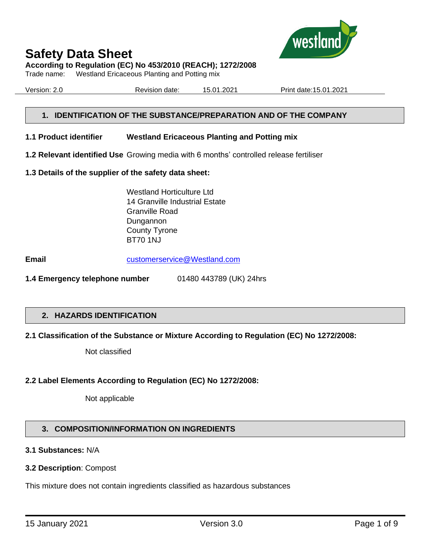

**According to Regulation (EC) No 453/2010 (REACH); 1272/2008**

Trade name: Westland Ericaceous Planting and Potting mix

Version: 2.0 Revision date: 15.01.2021 Print date:15.01.2021

## **1. IDENTIFICATION OF THE SUBSTANCE/PREPARATION AND OF THE COMPANY**

- **1.1 Product identifier Westland Ericaceous Planting and Potting mix**
- **1.2 Relevant identified Use** Growing media with 6 months' controlled release fertiliser
- **1.3 Details of the supplier of the safety data sheet:**

Westland Horticulture Ltd 14 Granville Industrial Estate Granville Road Dungannon County Tyrone BT70 1NJ

**Email** [customerservice@Westland.com](mailto:customerservice@Westland.com)

**1.4 Emergency telephone number** 01480 443789 (UK) 24hrs

#### **2. HAZARDS IDENTIFICATION**

#### **2.1 Classification of the Substance or Mixture According to Regulation (EC) No 1272/2008:**

Not classified

#### **2.2 Label Elements According to Regulation (EC) No 1272/2008:**

Not applicable

# **3. COMPOSITION/INFORMATION ON INGREDIENTS**

#### **3.1 Substances:** N/A

#### **3.2 Description**: Compost

This mixture does not contain ingredients classified as hazardous substances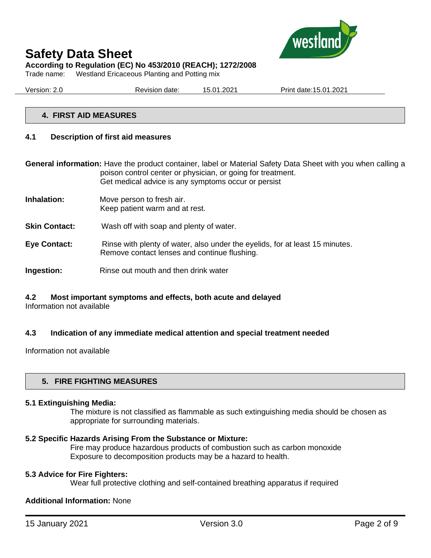

# **Safety Data Sheet According to Regulation (EC) No 453/2010 (REACH); 1272/2008**

Trade name: Westland Ericaceous Planting and Potting mix

| Version: 2.0 | Revision date: | 15.01.2021 | Print date: 15.01.2021 |  |
|--------------|----------------|------------|------------------------|--|
|              |                |            |                        |  |

#### **4. FIRST AID MEASURES**

#### **4.1 Description of first aid measures**

**General information:** Have the product container, label or Material Safety Data Sheet with you when calling a poison control center or physician, or going for treatment. Get medical advice is any symptoms occur or persist

- **Inhalation:** Move person to fresh air. Keep patient warm and at rest.
- **Skin Contact:** Wash off with soap and plenty of water.
- **Eye Contact:** Rinse with plenty of water, also under the eyelids, for at least 15 minutes. Remove contact lenses and continue flushing.
- **Ingestion:** Rinse out mouth and then drink water

# **4.2 Most important symptoms and effects, both acute and delayed**

Information not available

#### **4.3 Indication of any immediate medical attention and special treatment needed**

Information not available

#### **5. FIRE FIGHTING MEASURES**

#### **5.1 Extinguishing Media:**

The mixture is not classified as flammable as such extinguishing media should be chosen as appropriate for surrounding materials.

#### **5.2 Specific Hazards Arising From the Substance or Mixture:**

Fire may produce hazardous products of combustion such as carbon monoxide Exposure to decomposition products may be a hazard to health.

#### **5.3 Advice for Fire Fighters:**

Wear full protective clothing and self-contained breathing apparatus if required

#### **Additional Information:** None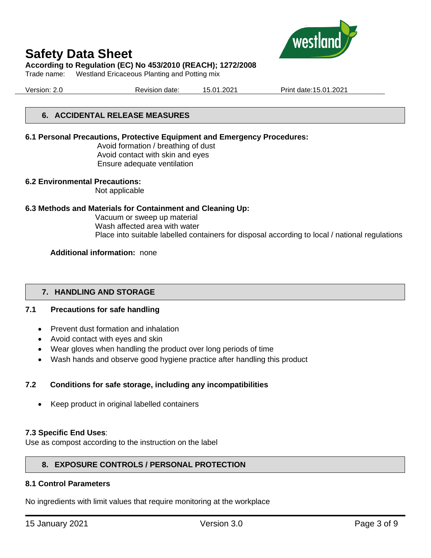

#### **According to Regulation (EC) No 453/2010 (REACH); 1272/2008**

Trade name: Westland Ericaceous Planting and Potting mix

Version: 2.0 Revision date: 15.01.2021 Print date:15.01.2021

## **6. ACCIDENTAL RELEASE MEASURES**

#### **6.1 Personal Precautions, Protective Equipment and Emergency Procedures:**

Avoid formation / breathing of dust Avoid contact with skin and eyes Ensure adequate ventilation

#### **6.2 Environmental Precautions:**

Not applicable

#### **6.3 Methods and Materials for Containment and Cleaning Up:**

Vacuum or sweep up material Wash affected area with water Place into suitable labelled containers for disposal according to local / national regulations

#### **Additional information:** none

#### **7. HANDLING AND STORAGE**

#### **7.1 Precautions for safe handling**

- Prevent dust formation and inhalation
- Avoid contact with eyes and skin
- Wear gloves when handling the product over long periods of time
- Wash hands and observe good hygiene practice after handling this product

#### **7.2 Conditions for safe storage, including any incompatibilities**

• Keep product in original labelled containers

#### **7.3 Specific End Uses**:

Use as compost according to the instruction on the label

#### **8. EXPOSURE CONTROLS / PERSONAL PROTECTION**

#### **8.1 Control Parameters**

No ingredients with limit values that require monitoring at the workplace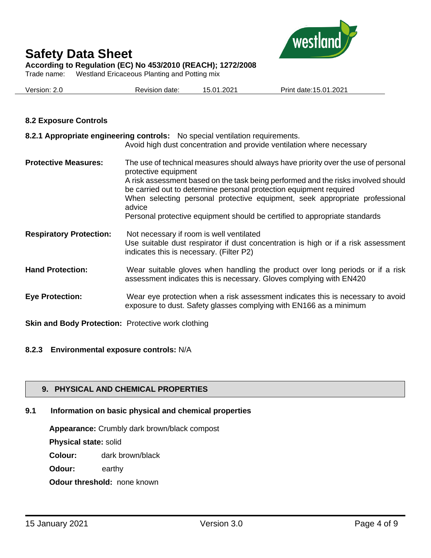

**According to Regulation (EC) No 453/2010 (REACH); 1272/2008**

Trade name: Westland Ericaceous Planting and Potting mix

| Version: 2.0 | Revision date: | 15.01.2021 | Print date: 15.01.2021 |
|--------------|----------------|------------|------------------------|
|              |                |            |                        |

#### **8.2 Exposure Controls**

| 8.2.1 Appropriate engineering controls: No special ventilation requirements.<br>Avoid high dust concentration and provide ventilation where necessary                                                                                                                                                                                                                                                                                        |
|----------------------------------------------------------------------------------------------------------------------------------------------------------------------------------------------------------------------------------------------------------------------------------------------------------------------------------------------------------------------------------------------------------------------------------------------|
| The use of technical measures should always have priority over the use of personal<br>protective equipment<br>A risk assessment based on the task being performed and the risks involved should<br>be carried out to determine personal protection equipment required<br>When selecting personal protective equipment, seek appropriate professional<br>advice<br>Personal protective equipment should be certified to appropriate standards |
| Not necessary if room is well ventilated<br>Use suitable dust respirator if dust concentration is high or if a risk assessment<br>indicates this is necessary. (Filter P2)                                                                                                                                                                                                                                                                   |
| Wear suitable gloves when handling the product over long periods or if a risk<br>assessment indicates this is necessary. Gloves complying with EN420                                                                                                                                                                                                                                                                                         |
| Wear eye protection when a risk assessment indicates this is necessary to avoid<br>exposure to dust. Safety glasses complying with EN166 as a minimum                                                                                                                                                                                                                                                                                        |
|                                                                                                                                                                                                                                                                                                                                                                                                                                              |

**Skin and Body Protection:** Protective work clothing

#### **8.2.3 Environmental exposure controls:** N/A

# **9. PHYSICAL AND CHEMICAL PROPERTIES**

# **9.1 Information on basic physical and chemical properties**

**Appearance:** Crumbly dark brown/black compost

**Physical state:** solid

**Colour:** dark brown/black

**Odour:** earthy

**Odour threshold:** none known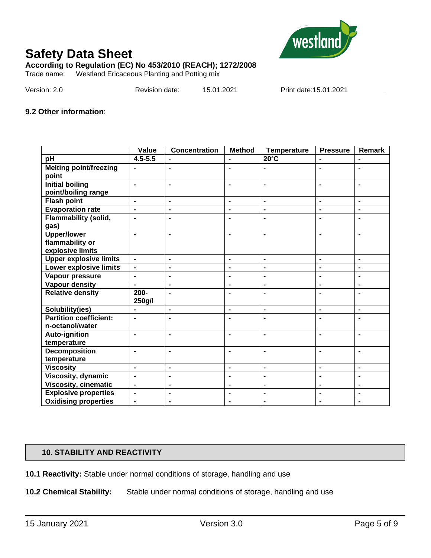

**According to Regulation (EC) No 453/2010 (REACH); 1272/2008**

Trade name: Westland Ericaceous Planting and Potting mix

| Version: 2.0 | Revision date: | 15.01.2021 | Print date: 15.01.2021 |
|--------------|----------------|------------|------------------------|
|              |                |            |                        |

#### **9.2 Other information**:

|                                               | Value                        | <b>Concentration</b> | <b>Method</b>  | <b>Temperature</b> | <b>Pressure</b> | Remark         |
|-----------------------------------------------|------------------------------|----------------------|----------------|--------------------|-----------------|----------------|
| pH                                            | $4.5 - 5.5$                  |                      |                | $20^{\circ}$ C     | $\blacksquare$  |                |
| <b>Melting point/freezing</b><br>point        | $\blacksquare$               | $\blacksquare$       | $\blacksquare$ | $\blacksquare$     | $\blacksquare$  | $\blacksquare$ |
| <b>Initial boiling</b><br>point/boiling range | ÷,                           | $\blacksquare$       | $\blacksquare$ | $\blacksquare$     | ä,              | $\blacksquare$ |
| <b>Flash point</b>                            | $\blacksquare$               | $\blacksquare$       | $\blacksquare$ | $\blacksquare$     | $\blacksquare$  | $\blacksquare$ |
| <b>Evaporation rate</b>                       | $\qquad \qquad \blacksquare$ | $\blacksquare$       | $\blacksquare$ | $\blacksquare$     | ۰               | $\blacksquare$ |
| <b>Flammability (solid,</b><br>gas)           |                              | $\blacksquare$       | $\blacksquare$ |                    |                 |                |
| <b>Upper/lower</b><br>flammability or         | $\blacksquare$               | $\blacksquare$       | $\blacksquare$ | $\blacksquare$     | $\blacksquare$  | $\blacksquare$ |
| explosive limits                              |                              |                      |                |                    |                 |                |
| <b>Upper explosive limits</b>                 | $\overline{\phantom{0}}$     | $\blacksquare$       | $\blacksquare$ | $\blacksquare$     | $\blacksquare$  | $\blacksquare$ |
| Lower explosive limits                        | $\overline{\phantom{0}}$     | $\blacksquare$       | $\blacksquare$ | $\blacksquare$     |                 |                |
| Vapour pressure                               | ä,                           | $\blacksquare$       | $\blacksquare$ | $\blacksquare$     | $\blacksquare$  | $\blacksquare$ |
| Vapour density                                | $\blacksquare$               | $\blacksquare$       | $\blacksquare$ | $\blacksquare$     | $\blacksquare$  | $\blacksquare$ |
| <b>Relative density</b>                       | 200-<br>250g/l               | $\blacksquare$       | $\blacksquare$ | $\blacksquare$     | $\blacksquare$  | $\blacksquare$ |
| Solubility(ies)                               |                              | $\blacksquare$       | $\blacksquare$ | $\blacksquare$     | $\blacksquare$  | $\blacksquare$ |
| <b>Partition coefficient:</b>                 | $\blacksquare$               | $\blacksquare$       | $\blacksquare$ | $\blacksquare$     | $\blacksquare$  | $\blacksquare$ |
| n-octanol/water                               |                              |                      |                |                    |                 |                |
| Auto-ignition                                 | $\blacksquare$               | $\blacksquare$       | $\blacksquare$ | $\blacksquare$     | $\blacksquare$  | $\blacksquare$ |
| temperature                                   |                              |                      |                |                    |                 |                |
| <b>Decomposition</b>                          | $\blacksquare$               | $\blacksquare$       | $\blacksquare$ | $\blacksquare$     |                 |                |
| temperature                                   |                              |                      |                |                    |                 |                |
| <b>Viscosity</b>                              | $\blacksquare$               | $\blacksquare$       | $\blacksquare$ | $\blacksquare$     | $\blacksquare$  | $\blacksquare$ |
| Viscosity, dynamic                            | $\blacksquare$               | $\blacksquare$       | $\blacksquare$ | $\blacksquare$     | ۰               | $\blacksquare$ |
| <b>Viscosity, cinematic</b>                   | $\blacksquare$               | $\blacksquare$       | $\blacksquare$ | $\blacksquare$     | $\blacksquare$  | $\blacksquare$ |
| <b>Explosive properties</b>                   | -                            | $\blacksquare$       | $\blacksquare$ | $\blacksquare$     | $\blacksquare$  | $\blacksquare$ |
| <b>Oxidising properties</b>                   | $\blacksquare$               | $\blacksquare$       | $\blacksquare$ | $\blacksquare$     | $\blacksquare$  | $\blacksquare$ |

# **10. STABILITY AND REACTIVITY**

**10.1 Reactivity:** Stable under normal conditions of storage, handling and use

**10.2 Chemical Stability:** Stable under normal conditions of storage, handling and use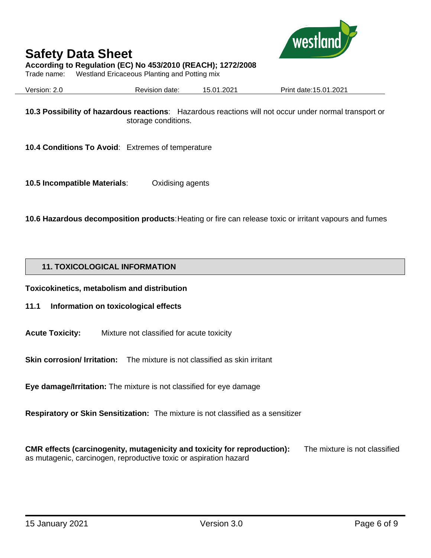

## **According to Regulation (EC) No 453/2010 (REACH); 1272/2008**

Trade name: Westland Ericaceous Planting and Potting mix

Version: 2.0 Revision date: 15.01.2021 Print date:15.01.2021

**10.3 Possibility of hazardous reactions**: Hazardous reactions will not occur under normal transport or storage conditions.

**10.4 Conditions To Avoid**: Extremes of temperature

**10.5 Incompatible Materials**: Oxidising agents

**10.6 Hazardous decomposition products**: Heating or fire can release toxic or irritant vapours and fumes

## **11. TOXICOLOGICAL INFORMATION**

**Toxicokinetics, metabolism and distribution**

- **11.1 Information on toxicological effects**
- **Acute Toxicity:** Mixture not classified for acute toxicity

**Skin corrosion/ Irritation:** The mixture is not classified as skin irritant

**Eye damage/Irritation:** The mixture is not classified for eye damage

**Respiratory or Skin Sensitization:** The mixture is not classified as a sensitizer

**CMR effects (carcinogenity, mutagenicity and toxicity for reproduction):** The mixture is not classified as mutagenic, carcinogen, reproductive toxic or aspiration hazard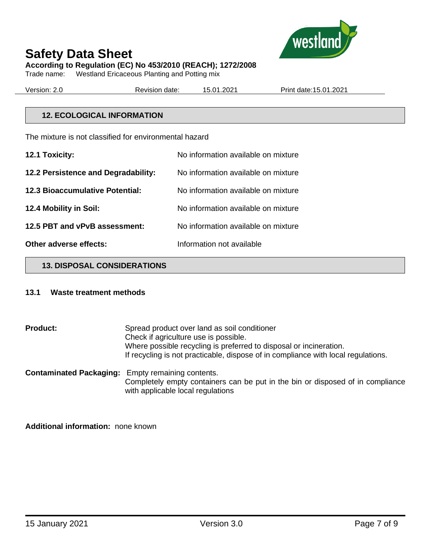

# **According to Regulation (EC) No 453/2010 (REACH); 1272/2008**

Trade name: Westland Ericaceous Planting and Potting mix

Version: 2.0 Revision date: 15.01.2021 Print date:15.01.2021

## **12. ECOLOGICAL INFORMATION**

The mixture is not classified for environmental hazard

| 12.1 Toxicity:                         | No information available on mixture |
|----------------------------------------|-------------------------------------|
| 12.2 Persistence and Degradability:    | No information available on mixture |
| <b>12.3 Bioaccumulative Potential:</b> | No information available on mixture |
| 12.4 Mobility in Soil:                 | No information available on mixture |
| 12.5 PBT and vPvB assessment:          | No information available on mixture |
| Other adverse effects:                 | Information not available           |

#### **13. DISPOSAL CONSIDERATIONS**

#### **13.1 Waste treatment methods**

**Product:** Spread product over land as soil conditioner Check if agriculture use is possible. Where possible recycling is preferred to disposal or incineration. If recycling is not practicable, dispose of in compliance with local regulations. **Contaminated Packaging:** Empty remaining contents. Completely empty containers can be put in the bin or disposed of in compliance

with applicable local regulations

**Additional information:** none known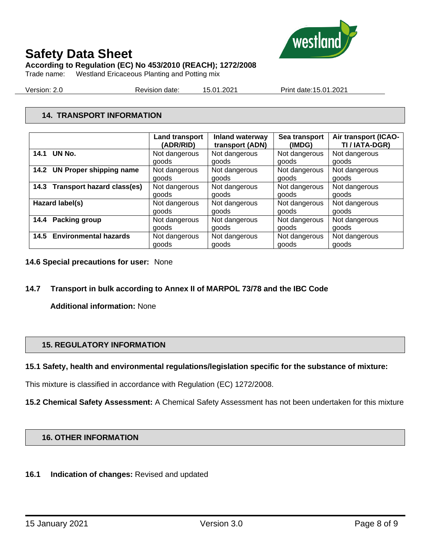

## **According to Regulation (EC) No 453/2010 (REACH); 1272/2008**

Trade name: Westland Ericaceous Planting and Potting mix

Version: 2.0 Revision date: 15.01.2021 Print date:15.01.2021

# **14. TRANSPORT INFORMATION**

|                                           | <b>Land transport</b><br>(ADR/RID) | <b>Inland waterway</b><br>transport (ADN) | Sea transport<br>(IMDG) | Air transport (ICAO-<br>TI / IATA-DGR) |
|-------------------------------------------|------------------------------------|-------------------------------------------|-------------------------|----------------------------------------|
| UN No.<br>14.1                            | Not dangerous                      | Not dangerous                             | Not dangerous           | Not dangerous                          |
|                                           | goods                              | goods                                     | goods                   | goods                                  |
| <b>UN Proper shipping name</b><br>14.2    | Not dangerous                      | Not dangerous                             | Not dangerous           | Not dangerous                          |
|                                           | goods                              | goods                                     | goods                   | goods                                  |
| <b>Transport hazard class(es)</b><br>14.3 | Not dangerous                      | Not dangerous                             | Not dangerous           | Not dangerous                          |
|                                           | goods                              | goods                                     | goods                   | goods                                  |
| Hazard label(s)                           | Not dangerous                      | Not dangerous                             | Not dangerous           | Not dangerous                          |
|                                           | goods                              | goods                                     | goods                   | goods                                  |
| Packing group<br>14.4                     | Not dangerous                      | Not dangerous                             | Not dangerous           | Not dangerous                          |
|                                           | goods                              | goods                                     | goods                   | goods                                  |
| <b>Environmental hazards</b><br>14.5      | Not dangerous                      | Not dangerous                             | Not dangerous           | Not dangerous                          |
|                                           | goods                              | goods                                     | goods                   | goods                                  |

#### **14.6 Special precautions for user:** None

# **14.7 Transport in bulk according to Annex II of MARPOL 73/78 and the IBC Code**

**Additional information:** None

# **15. REGULATORY INFORMATION**

#### **15.1 Safety, health and environmental regulations/legislation specific for the substance of mixture:**

This mixture is classified in accordance with Regulation (EC) 1272/2008.

**15.2 Chemical Safety Assessment:** A Chemical Safety Assessment has not been undertaken for this mixture

#### **16. OTHER INFORMATION**

#### **16.1 Indication of changes:** Revised and updated